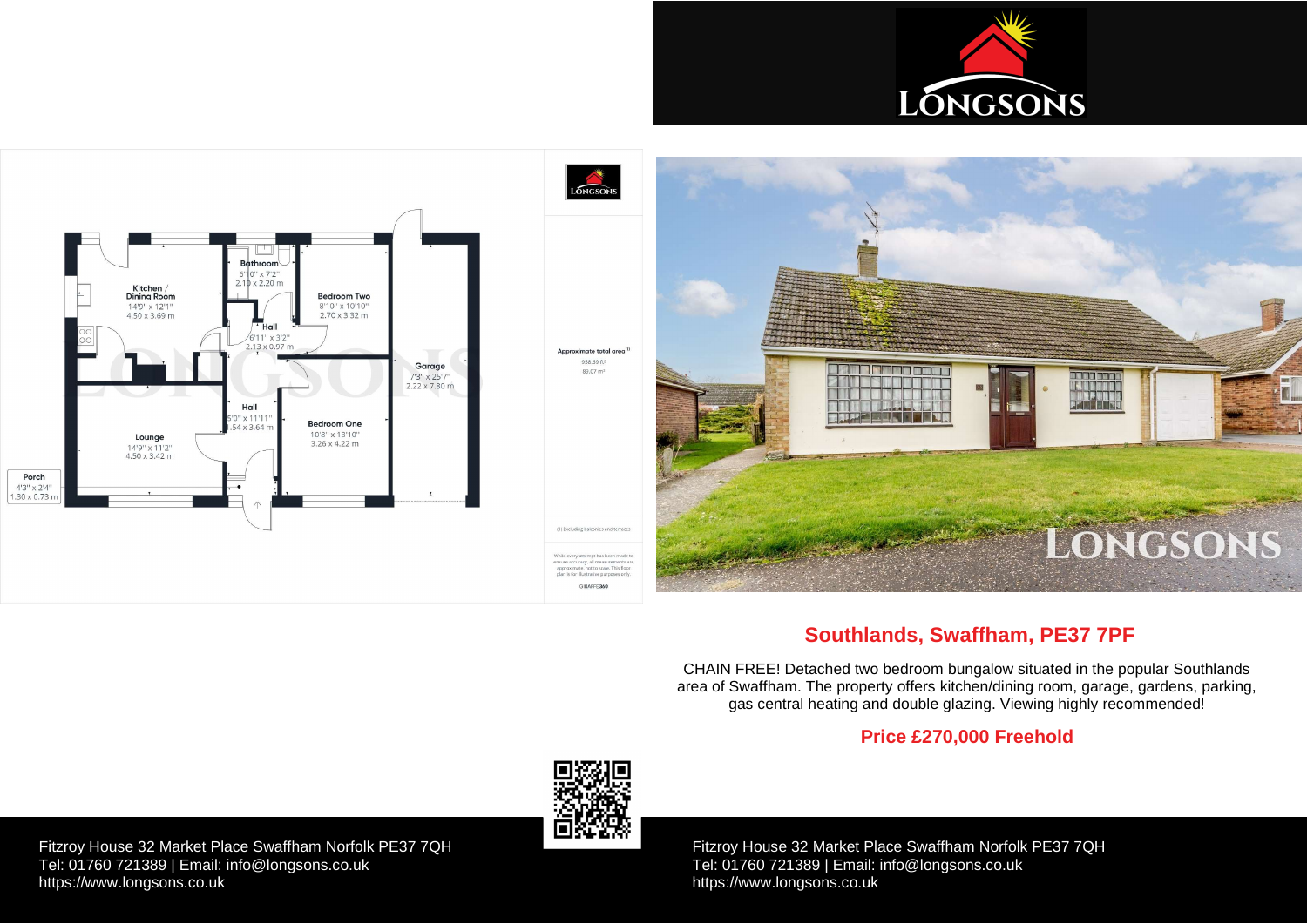Fitzroy House 32 Market Place Swaffham Norfolk PE37 7QH Tel: 01760 721389 | Email: [info@longsons.co.uk](mailto:info@longsons.co.uk) <https://www.longsons.co.uk>

Fitzroy House 32 Market Place Swaffham Norfolk PE37 7QH Tel: 01760 721389 | Email: [info@longsons.co.uk](mailto:info@longsons.co.uk) <https://www.longsons.co.uk>





# **Southlands, Swaffham, PE37 7PF**

CHAIN FREE! Detached two bedroom bungalow situated in the popular Southlands area of Swaffham. The property offers kitchen/dining room, garage, gardens, parking, gas central heating and double glazing. Viewing highly recommended!

# **Price £270,000 Freehold**